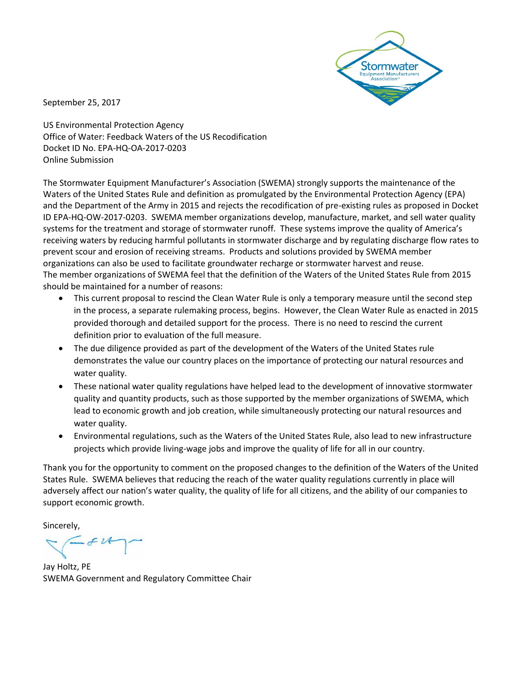

September 25, 2017

US Environmental Protection Agency Office of Water: Feedback Waters of the US Recodification Docket ID No. EPA-HQ-OA-2017-0203 Online Submission

The Stormwater Equipment Manufacturer's Association (SWEMA) strongly supports the maintenance of the Waters of the United States Rule and definition as promulgated by the Environmental Protection Agency (EPA) and the Department of the Army in 2015 and rejects the recodification of pre-existing rules as proposed in Docket ID EPA-HQ-OW-2017-0203. SWEMA member organizations develop, manufacture, market, and sell water quality systems for the treatment and storage of stormwater runoff. These systems improve the quality of America's receiving waters by reducing harmful pollutants in stormwater discharge and by regulating discharge flow rates to prevent scour and erosion of receiving streams. Products and solutions provided by SWEMA member organizations can also be used to facilitate groundwater recharge or stormwater harvest and reuse. The member organizations of SWEMA feel that the definition of the Waters of the United States Rule from 2015 should be maintained for a number of reasons:

- This current proposal to rescind the Clean Water Rule is only a temporary measure until the second step in the process, a separate rulemaking process, begins. However, the Clean Water Rule as enacted in 2015 provided thorough and detailed support for the process. There is no need to rescind the current definition prior to evaluation of the full measure.
- The due diligence provided as part of the development of the Waters of the United States rule demonstrates the value our country places on the importance of protecting our natural resources and water quality.
- These national water quality regulations have helped lead to the development of innovative stormwater quality and quantity products, such as those supported by the member organizations of SWEMA, which lead to economic growth and job creation, while simultaneously protecting our natural resources and water quality.
- Environmental regulations, such as the Waters of the United States Rule, also lead to new infrastructure projects which provide living-wage jobs and improve the quality of life for all in our country.

Thank you for the opportunity to comment on the proposed changes to the definition of the Waters of the United States Rule. SWEMA believes that reducing the reach of the water quality regulations currently in place will adversely affect our nation's water quality, the quality of life for all citizens, and the ability of our companies to support economic growth.

Sincerely,

 $-FU$ 

Jay Holtz, PE SWEMA Government and Regulatory Committee Chair